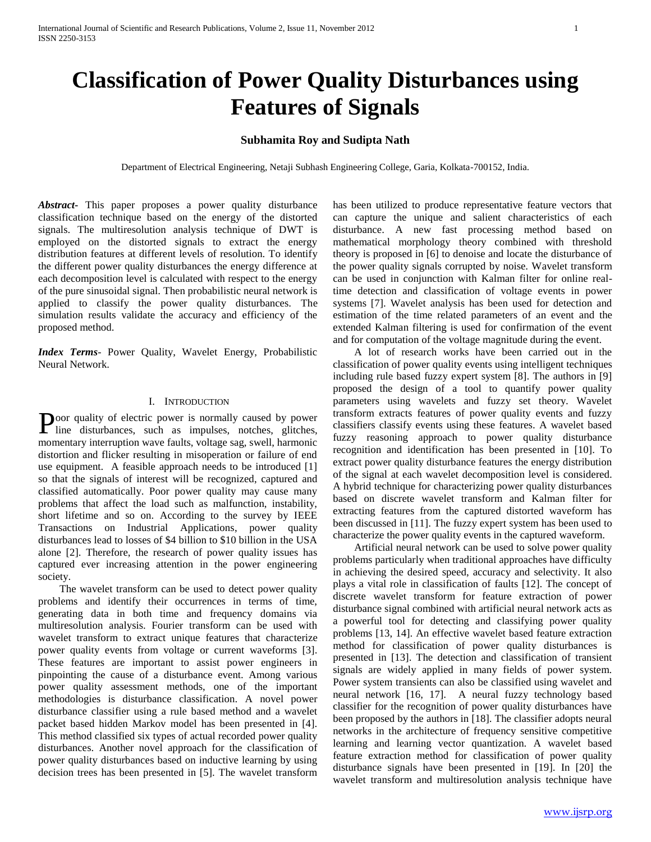# **Classification of Power Quality Disturbances using Features of Signals**

# **Subhamita Roy and Sudipta Nath**

Department of Electrical Engineering, Netaji Subhash Engineering College, Garia, Kolkata-700152, India.

*Abstract***-** This paper proposes a power quality disturbance classification technique based on the energy of the distorted signals. The multiresolution analysis technique of DWT is employed on the distorted signals to extract the energy distribution features at different levels of resolution. To identify the different power quality disturbances the energy difference at each decomposition level is calculated with respect to the energy of the pure sinusoidal signal. Then probabilistic neural network is applied to classify the power quality disturbances. The simulation results validate the accuracy and efficiency of the proposed method.

*Index Terms*- Power Quality, Wavelet Energy, Probabilistic Neural Network.

## I. INTRODUCTION

oor quality of electric power is normally caused by power **Poor quality of electric power is normally caused by power line disturbances**, such as impulses, notches, glitches, momentary interruption wave faults, voltage sag, swell, harmonic distortion and flicker resulting in misoperation or failure of end use equipment. A feasible approach needs to be introduced [1] so that the signals of interest will be recognized, captured and classified automatically. Poor power quality may cause many problems that affect the load such as malfunction, instability, short lifetime and so on. According to the survey by IEEE Transactions on Industrial Applications, power quality disturbances lead to losses of \$4 billion to \$10 billion in the USA alone [2]. Therefore, the research of power quality issues has captured ever increasing attention in the power engineering society.

 The wavelet transform can be used to detect power quality problems and identify their occurrences in terms of time, generating data in both time and frequency domains via multiresolution analysis. Fourier transform can be used with wavelet transform to extract unique features that characterize power quality events from voltage or current waveforms [3]. These features are important to assist power engineers in pinpointing the cause of a disturbance event. Among various power quality assessment methods, one of the important methodologies is disturbance classification. A novel power disturbance classifier using a rule based method and a wavelet packet based hidden Markov model has been presented in [4]. This method classified six types of actual recorded power quality disturbances. Another novel approach for the classification of power quality disturbances based on inductive learning by using decision trees has been presented in [5]. The wavelet transform has been utilized to produce representative feature vectors that can capture the unique and salient characteristics of each disturbance. A new fast processing method based on mathematical morphology theory combined with threshold theory is proposed in [6] to denoise and locate the disturbance of the power quality signals corrupted by noise. Wavelet transform can be used in conjunction with Kalman filter for online realtime detection and classification of voltage events in power systems [7]. Wavelet analysis has been used for detection and estimation of the time related parameters of an event and the extended Kalman filtering is used for confirmation of the event and for computation of the voltage magnitude during the event.

 A lot of research works have been carried out in the classification of power quality events using intelligent techniques including rule based fuzzy expert system [8]. The authors in [9] proposed the design of a tool to quantify power quality parameters using wavelets and fuzzy set theory. Wavelet transform extracts features of power quality events and fuzzy classifiers classify events using these features. A wavelet based fuzzy reasoning approach to power quality disturbance recognition and identification has been presented in [10]. To extract power quality disturbance features the energy distribution of the signal at each wavelet decomposition level is considered. A hybrid technique for characterizing power quality disturbances based on discrete wavelet transform and Kalman filter for extracting features from the captured distorted waveform has been discussed in [11]. The fuzzy expert system has been used to characterize the power quality events in the captured waveform.

 Artificial neural network can be used to solve power quality problems particularly when traditional approaches have difficulty in achieving the desired speed, accuracy and selectivity. It also plays a vital role in classification of faults [12]. The concept of discrete wavelet transform for feature extraction of power disturbance signal combined with artificial neural network acts as a powerful tool for detecting and classifying power quality problems [13, 14]. An effective wavelet based feature extraction method for classification of power quality disturbances is presented in [13]. The detection and classification of transient signals are widely applied in many fields of power system. Power system transients can also be classified using wavelet and neural network [16, 17]. A neural fuzzy technology based classifier for the recognition of power quality disturbances have been proposed by the authors in [18]. The classifier adopts neural networks in the architecture of frequency sensitive competitive learning and learning vector quantization. A wavelet based feature extraction method for classification of power quality disturbance signals have been presented in [19]. In [20] the wavelet transform and multiresolution analysis technique have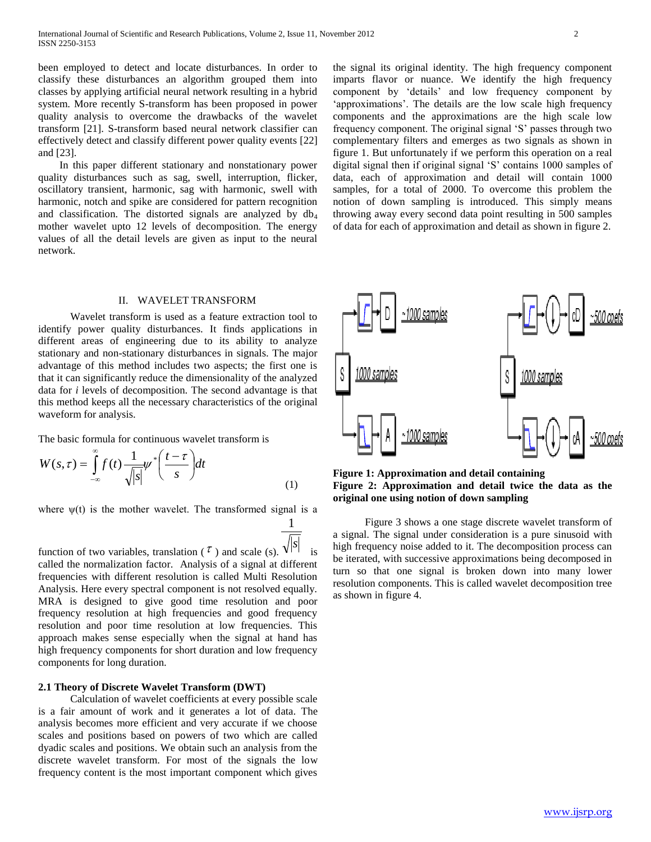been employed to detect and locate disturbances. In order to classify these disturbances an algorithm grouped them into classes by applying artificial neural network resulting in a hybrid system. More recently S-transform has been proposed in power quality analysis to overcome the drawbacks of the wavelet transform [21]. S-transform based neural network classifier can effectively detect and classify different power quality events [22] and [23].

 In this paper different stationary and nonstationary power quality disturbances such as sag, swell, interruption, flicker, oscillatory transient, harmonic, sag with harmonic, swell with harmonic, notch and spike are considered for pattern recognition and classification. The distorted signals are analyzed by  $db_4$ mother wavelet upto 12 levels of decomposition. The energy values of all the detail levels are given as input to the neural network.

#### II. WAVELET TRANSFORM

 Wavelet transform is used as a feature extraction tool to identify power quality disturbances. It finds applications in different areas of engineering due to its ability to analyze stationary and non-stationary disturbances in signals. The major advantage of this method includes two aspects; the first one is that it can significantly reduce the dimensionality of the analyzed data for *i* levels of decomposition. The second advantage is that this method keeps all the necessary characteristics of the original waveform for analysis.

The basic formula for continuous wavelet transform is

$$
W(s,\tau) = \int_{-\infty}^{\infty} f(t) \frac{1}{\sqrt{|s|}} \psi^* \left( \frac{t-\tau}{s} \right) dt \tag{1}
$$

where  $\psi(t)$  is the mother wavelet. The transformed signal is a

1

function of two variables, translation ( $\tau$ ) and scale (s).  $\sqrt{s}$  is called the normalization factor. Analysis of a signal at different frequencies with different resolution is called Multi Resolution Analysis. Here every spectral component is not resolved equally. MRA is designed to give good time resolution and poor frequency resolution at high frequencies and good frequency resolution and poor time resolution at low frequencies. This approach makes sense especially when the signal at hand has high frequency components for short duration and low frequency components for long duration.

## **2.1 Theory of Discrete Wavelet Transform (DWT)**

 Calculation of wavelet coefficients at every possible scale is a fair amount of work and it generates a lot of data. The analysis becomes more efficient and very accurate if we choose scales and positions based on powers of two which are called dyadic scales and positions. We obtain such an analysis from the discrete wavelet transform. For most of the signals the low frequency content is the most important component which gives the signal its original identity. The high frequency component imparts flavor or nuance. We identify the high frequency component by 'details' and low frequency component by 'approximations'. The details are the low scale high frequency components and the approximations are the high scale low frequency component. The original signal 'S' passes through two complementary filters and emerges as two signals as shown in figure 1. But unfortunately if we perform this operation on a real digital signal then if original signal 'S' contains 1000 samples of data, each of approximation and detail will contain 1000 samples, for a total of 2000. To overcome this problem the notion of down sampling is introduced. This simply means throwing away every second data point resulting in 500 samples of data for each of approximation and detail as shown in figure 2.



**Figure 1: Approximation and detail containing Figure 2: Approximation and detail twice the data as the original one using notion of down sampling**

 Figure 3 shows a one stage discrete wavelet transform of a signal. The signal under consideration is a pure sinusoid with high frequency noise added to it. The decomposition process can be iterated, with successive approximations being decomposed in turn so that one signal is broken down into many lower resolution components. This is called wavelet decomposition tree as shown in figure 4.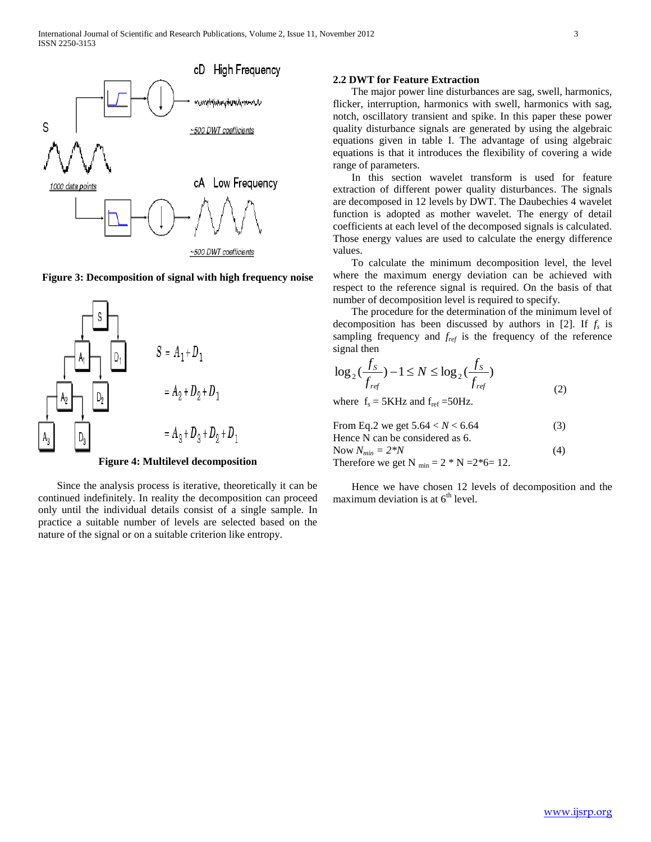

## **Figure 3: Decomposition of signal with high frequency noise**



**Figure 4: Multilevel decomposition**

 Since the analysis process is iterative, theoretically it can be continued indefinitely. In reality the decomposition can proceed only until the individual details consist of a single sample. In practice a suitable number of levels are selected based on the nature of the signal or on a suitable criterion like entropy.

## **2.2 DWT for Feature Extraction**

 The major power line disturbances are sag, swell, harmonics, flicker, interruption, harmonics with swell, harmonics with sag, notch, oscillatory transient and spike. In this paper these power quality disturbance signals are generated by using the algebraic equations given in table I. The advantage of using algebraic equations is that it introduces the flexibility of covering a wide range of parameters.

 In this section wavelet transform is used for feature extraction of different power quality disturbances. The signals are decomposed in 12 levels by DWT. The Daubechies 4 wavelet function is adopted as mother wavelet. The energy of detail coefficients at each level of the decomposed signals is calculated. Those energy values are used to calculate the energy difference values.

 To calculate the minimum decomposition level, the level where the maximum energy deviation can be achieved with respect to the reference signal is required. On the basis of that number of decomposition level is required to specify.

 The procedure for the determination of the minimum level of decomposition has been discussed by authors in [2]. If *f<sup>s</sup>* is sampling frequency and *fref* is the frequency of the reference signal then

$$
\log_2(\frac{f_s}{f_{ref}}) - 1 \le N \le \log_2(\frac{f_s}{f_{ref}})
$$
  
where f<sub>s</sub> = 5KHz and f<sub>ref</sub> = 50Hz. (2)

From Eq.2 we get  $5.64 < N < 6.64$  (3) Hence N can be considered as 6. Now  $N_{min} = 2*N$  (4) Therefore we get N  $_{\text{min}} = 2 * N = 2*6 = 12$ .

 Hence we have chosen 12 levels of decomposition and the maximum deviation is at  $6<sup>th</sup>$  level.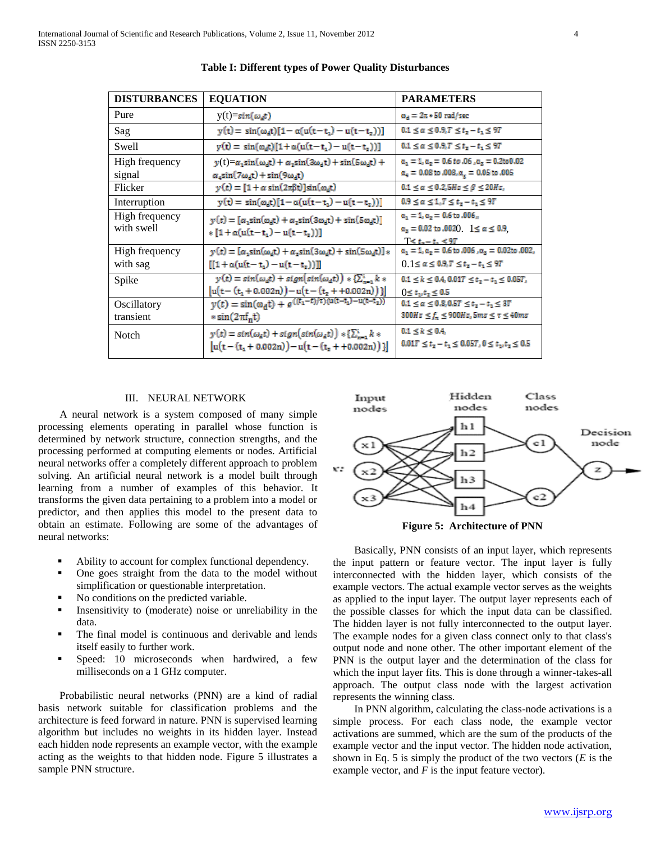| <b>DISTURBANCES</b>          | <b>EQUATION</b>                                                                                                                           | <b>PARAMETERS</b>                                                                                                                  |
|------------------------------|-------------------------------------------------------------------------------------------------------------------------------------------|------------------------------------------------------------------------------------------------------------------------------------|
| Pure                         | $y(t)=sin(\omega_d t)$                                                                                                                    | $\omega_d = 2\pi * 50$ rad/sec                                                                                                     |
| Sag                          | $y(t) = \sin(\omega_0 t)[1 - \alpha(u(t - t_1) - u(t - t_2))]$                                                                            | $0.1 \le \alpha \le 0.9, T \le t$ , $-t$ , $\le 9T$                                                                                |
| Swell                        | $y(t) = sin(\omega_d t)[1 + \alpha(u(t - t_1) - u(t - t_2))]$                                                                             | $0.1 \le \alpha \le 0.9, T \le t_{z} - t_{1} \le 9T$                                                                               |
| High frequency<br>signal     | $y(t) = \alpha_1 \sin(\omega_d t) + \alpha_2 \sin(3\omega_d t) + \sin(5\omega_d t) +$<br>$\alpha_s \sin(7\omega_d t) + \sin(9\omega_d t)$ | $\alpha_1 = 1, \alpha_2 = 0.6$ to .06, $\alpha_2 = 0.2$ to 0.02<br>$\alpha_4 = 0.08$ to $.008$ , $\alpha_{\rm g} = 0.05$ to $.005$ |
| Flicker                      | $y(t) = [1 + \alpha \sin(2\pi\beta t)]\sin(\omega_d t)$                                                                                   | $0.1 \leq \alpha \leq 0.2, 5Hz \leq \beta \leq 20Hz,$                                                                              |
| Interruption                 | $y(t) = sin(\omega_d t)[1 - \alpha(u(t - t_1) - u(t - t_2))]$                                                                             | $0.9 \le \alpha \le 1.7 \le t_{2} - t_{1} \le 97$                                                                                  |
| High frequency<br>with swell | $y(t) = [\alpha_1 \sin(\omega_d t) + \alpha_2 \sin(3\omega_d t) + \sin(5\omega_d t)]$<br>$\{1 + \alpha(u(t-t,)-u(t-t,)))\}$               | $\alpha_1 = 1, \alpha_2 = 0.6$ to .006,<br>$\alpha_x = 0.02$ to .002(). $1 \le \alpha \le 0.9$ .<br>$T < t - t$ , < 97             |
| High frequency<br>with sag   | $y(t) = [\alpha_1 \sin(\omega_d t) + \alpha_2 \sin(3\omega_d t) + \sin(5\omega_d t)]$<br>$[[1 + \alpha(u(t - t_1) - u(t - t_2))]]$        | $\alpha_1 = 1, \alpha_2 = 0.6$ to .006, $\alpha_3 = 0.02$ to .002,<br>$0.1 \le \alpha \le 0.9$ , $T \le t_2 - t_1 \le 9T$          |
| Spike                        | $y(t) = sin(\omega_d t) + sign(sin(\omega_d t)) * {\sum_{i=1}^{i} k *}$<br>$[u(t-(t_1+0.002n))-u(t-(t_2++0.002n)))]$                      | $0.1 \le k \le 0.4, 0.01T \le t_z - t_z \le 0.05T$ ,<br>$0 \le t_1, t_2 \le 0.5$                                                   |
| Oscillatory<br>transient     | $y(t) = \sin(\omega_d t) + e^{((t_1 - t)/\tau)(u(t - t_1) - u(t - t_2))}$<br>$\sin(2\pi f_n t)$                                           | $0.1 \le \alpha \le 0.8, 0.5T \le t_z - t_z \le 3T$<br>$300Hz \le f_n \le 900Hz$ , 5ms $\le \tau \le 40ms$                         |
| <b>Notch</b>                 | $y(t) = sin(\omega_d t) + sign(sin(\omega_d t)) * {\sum_{n=1}^{i} k *}$<br>$ u(t-(t_1+0.002n))-u(t-(t_2+0.002n)) $                        | $0.1 \le k \le 0.4$<br>$0.017 \leq t_{\rm z}-t_{\rm 1} \leq 0.057, 0 \leq t_{\rm 1\prime} t_{\rm z} \leq 0.5$                      |

## **Table I: Different types of Power Quality Disturbances**

## III. NEURAL NETWORK

 A neural network is a system composed of many simple processing elements operating in parallel whose function is determined by network structure, connection strengths, and the processing performed at computing elements or nodes. Artificial neural networks offer a completely different approach to problem solving. An artificial neural network is a model built through learning from a number of examples of this behavior. It transforms the given data pertaining to a problem into a model or predictor, and then applies this model to the present data to obtain an estimate. Following are some of the advantages of neural networks:

- Ability to account for complex functional dependency.
- One goes straight from the data to the model without simplification or questionable interpretation.
- No conditions on the predicted variable.
- Insensitivity to (moderate) noise or unreliability in the data.
- The final model is continuous and derivable and lends itself easily to further work.
- Speed: 10 microseconds when hardwired, a few milliseconds on a 1 GHz computer.

 Probabilistic neural networks (PNN) are a kind of radial basis network suitable for classification problems and the architecture is feed forward in nature. PNN is supervised learning algorithm but includes no weights in its hidden layer. Instead each hidden node represents an example vector, with the example acting as the weights to that hidden node. Figure 5 illustrates a sample PNN structure.



**Figure 5: Architecture of PNN**

 Basically, PNN consists of an input layer, which represents the input pattern or feature vector. The input layer is fully interconnected with the hidden layer, which consists of the example vectors. The actual example vector serves as the weights as applied to the input layer. The output layer represents each of the possible classes for which the input data can be classified. The hidden layer is not fully interconnected to the output layer. The example nodes for a given class connect only to that class's output node and none other. The other important element of the PNN is the output layer and the determination of the class for which the input layer fits. This is done through a winner-takes-all approach. The output class node with the largest activation represents the winning class.

 In PNN algorithm, calculating the class-node activations is a simple process. For each class node, the example vector activations are summed, which are the sum of the products of the example vector and the input vector. The hidden node activation, shown in Eq. 5 is simply the product of the two vectors (*E* is the example vector, and *F* is the input feature vector).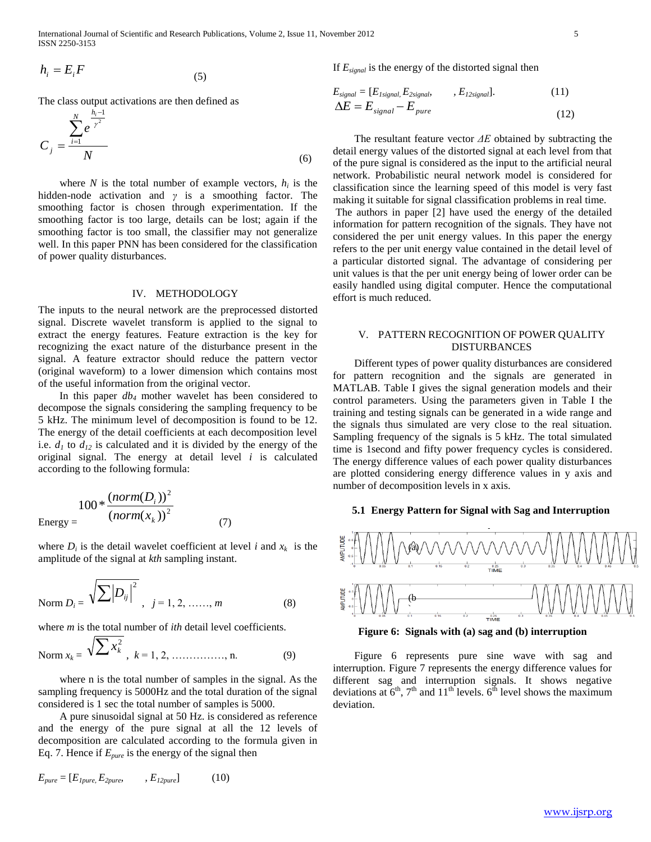$$
h_i = E_i F \tag{5}
$$

*N*

The class output activations are then defined as

$$
C_{j} = \frac{\sum_{i=1}^{N} e^{\frac{h_{i}-1}{\gamma^{2}}}}{N}
$$
\n(6)

where *N* is the total number of example vectors,  $h_i$  is the hidden-node activation and *γ* is a smoothing factor. The smoothing factor is chosen through experimentation. If the smoothing factor is too large, details can be lost; again if the smoothing factor is too small, the classifier may not generalize well. In this paper PNN has been considered for the classification of power quality disturbances.

#### IV. METHODOLOGY

The inputs to the neural network are the preprocessed distorted signal. Discrete wavelet transform is applied to the signal to extract the energy features. Feature extraction is the key for recognizing the exact nature of the disturbance present in the signal. A feature extractor should reduce the pattern vector (original waveform) to a lower dimension which contains most of the useful information from the original vector.

 In this paper *db<sup>4</sup>* mother wavelet has been considered to decompose the signals considering the sampling frequency to be 5 kHz. The minimum level of decomposition is found to be 12. The energy of the detail coefficients at each decomposition level i.e.  $d_1$  to  $d_{12}$  is calculated and it is divided by the energy of the original signal. The energy at detail level *i* is calculated according to the following formula:

$$
100 * \frac{(norm(D_i))^2}{(norm(x_k))^2}
$$
  
Energy = (7)

where  $D_i$  is the detail wavelet coefficient at level *i* and  $x_k$  is the amplitude of the signal at *kth* sampling instant.

Norm 
$$
D_i = \sqrt{\sum |D_{ij}|^2}
$$
,  $j = 1, 2, \dots, m$  (8)

where *m* is the total number of *ith* detail level coefficients.

Norm 
$$
x_k = \sqrt{\sum x_k^2}
$$
,  $k = 1, 2, \dots, n$ . (9)

 where n is the total number of samples in the signal. As the sampling frequency is 5000Hz and the total duration of the signal considered is 1 sec the total number of samples is 5000.

 A pure sinusoidal signal at 50 Hz. is considered as reference and the energy of the pure signal at all the 12 levels of decomposition are calculated according to the formula given in Eq. 7. Hence if *Epure* is the energy of the signal then

$$
E_{pure} = [E_{1pure}, E_{2pure}, \qquad, E_{12pure}] \tag{10}
$$

If *Esignal* is the energy of the distorted signal then

$$
E_{signal} = [E_{Isignal}, E_{2signal}, E_{12signal}].
$$
\n
$$
\Delta E = E_{signal} - E_{pure}
$$
\n(11)

 $h_i = h_i l_i$ <br>  $\vec{r} = \vec{r}$ <br>  $\vec{r} = \vec{r}$ <br>  $\vec{r} = \vec{r}$ <br>  $\vec{r} = \vec{r}$ <br>  $\vec{r} = \vec{r}$ <br>  $\vec{r} = \vec{r}$ <br>  $\vec{r} = \vec{r}$ <br>  $\vec{r} = \vec{r}$ <br>  $\vec{r} = \vec{r}$ <br>  $\vec{r} = \vec{r}$ <br>  $\vec{r} = \vec{r}$ <br>  $\vec{r} = \vec{r}$ <br>  $\vec{r} = \vec{r}$ <br>  $\vec{r} = \vec{r}$ <br> The resultant feature vector *ΔE* obtained by subtracting the detail energy values of the distorted signal at each level from that of the pure signal is considered as the input to the artificial neural network. Probabilistic neural network model is considered for classification since the learning speed of this model is very fast making it suitable for signal classification problems in real time. The authors in paper [2] have used the energy of the detailed information for pattern recognition of the signals. They have not considered the per unit energy values. In this paper the energy refers to the per unit energy value contained in the detail level of a particular distorted signal. The advantage of considering per unit values is that the per unit energy being of lower order can be easily handled using digital computer. Hence the computational effort is much reduced.

## V. PATTERN RECOGNITION OF POWER QUALITY DISTURBANCES

 Different types of power quality disturbances are considered for pattern recognition and the signals are generated in MATLAB. Table I gives the signal generation models and their control parameters. Using the parameters given in Table I the training and testing signals can be generated in a wide range and the signals thus simulated are very close to the real situation. Sampling frequency of the signals is 5 kHz. The total simulated time is 1second and fifty power frequency cycles is considered. The energy difference values of each power quality disturbances are plotted considering energy difference values in y axis and number of decomposition levels in x axis.

## **5.1 Energy Pattern for Signal with Sag and Interruption**



**Figure 6: Signals with (a) sag and (b) interruption**

 Figure 6 represents pure sine wave with sag and interruption. Figure 7 represents the energy difference values for different sag and interruption signals. It shows negative deviations at  $6<sup>th</sup>$ ,  $7<sup>th</sup>$  and  $11<sup>th</sup>$  levels.  $6<sup>th</sup>$  level shows the maximum deviation.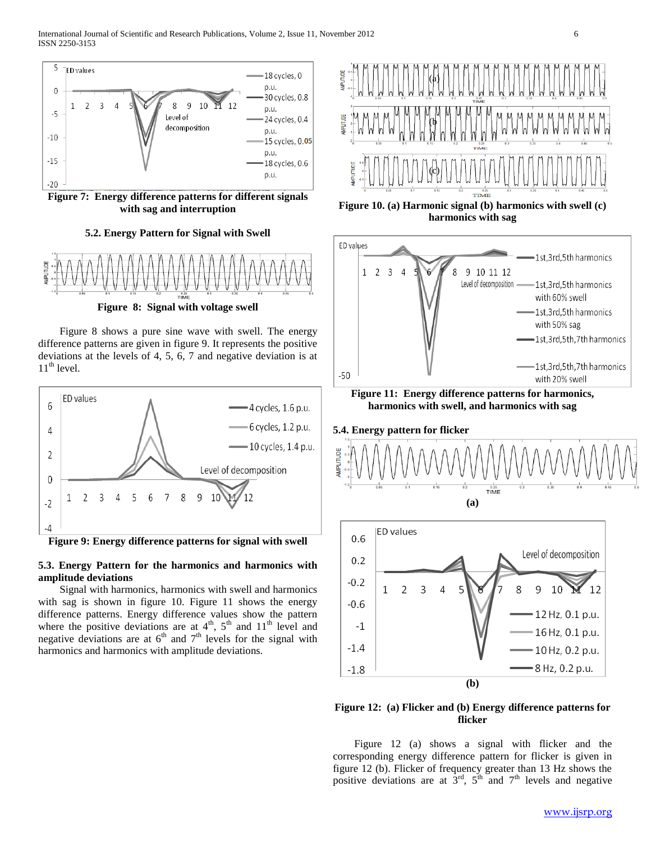

**Figure 7: Energy difference patterns for different signals with sag and interruption**

# **5.2. Energy Pattern for Signal with Swell**



**Figure 8: Signal with voltage swell**

 Figure 8 shows a pure sine wave with swell. The energy difference patterns are given in figure 9. It represents the positive deviations at the levels of 4, 5, 6, 7 and negative deviation is at  $11<sup>th</sup>$  level.



**Figure 9: Energy difference patterns for signal with swell**

## **5.3. Energy Pattern for the harmonics and harmonics with amplitude deviations**

 Signal with harmonics, harmonics with swell and harmonics with sag is shown in figure 10. Figure 11 shows the energy difference patterns. Energy difference values show the pattern where the positive deviations are at  $4<sup>th</sup>$ ,  $5<sup>th</sup>$  and  $11<sup>th</sup>$  level and negative deviations are at  $6<sup>th</sup>$  and  $7<sup>th</sup>$  levels for the signal with harmonics and harmonics with amplitude deviations.



**Figure 10. (a) Harmonic signal (b) harmonics with swell (c) harmonics with sag**



**Figure 11: Energy difference patterns for harmonics, harmonics with swell, and harmonics with sag**







## **Figure 12: (a) Flicker and (b) Energy difference patterns for flicker**

 Figure 12 (a) shows a signal with flicker and the corresponding energy difference pattern for flicker is given in figure 12 (b). Flicker of frequency greater than 13 Hz shows the positive deviations are at  $3<sup>rd</sup>$ ,  $5<sup>th</sup>$  and  $7<sup>th</sup>$  levels and negative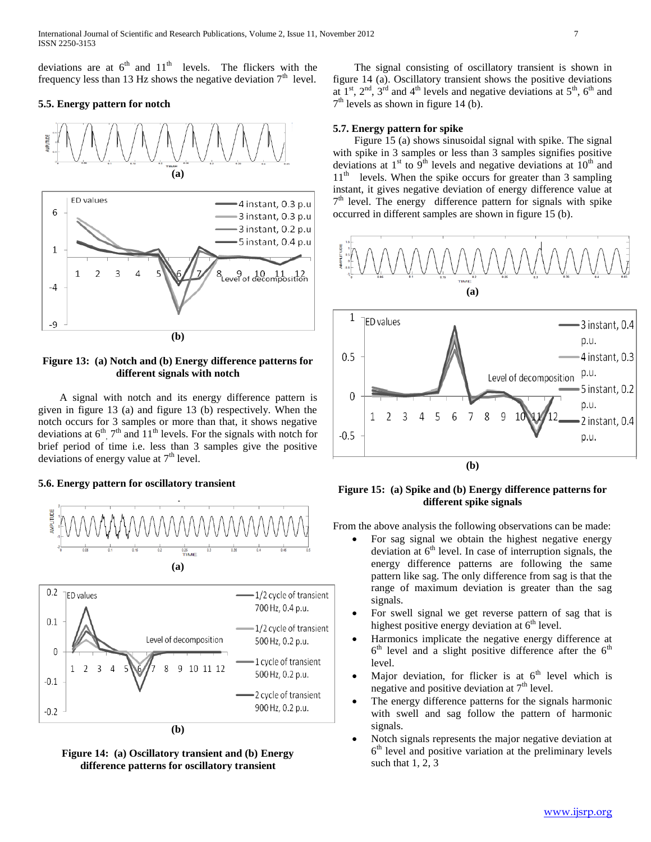deviations are at  $6<sup>th</sup>$  and  $11<sup>th</sup>$  levels. The flickers with the frequency less than 13 Hz shows the negative deviation  $7<sup>th</sup>$  level.

## **5.5. Energy pattern for notch**



**Figure 13: (a) Notch and (b) Energy difference patterns for different signals with notch**

 A signal with notch and its energy difference pattern is given in figure 13 (a) and figure 13 (b) respectively. When the notch occurs for 3 samples or more than that, it shows negative deviations at  $6<sup>th</sup>$ ,  $7<sup>th</sup>$  and  $11<sup>th</sup>$  levels. For the signals with notch for brief period of time i.e. less than 3 samples give the positive deviations of energy value at  $7<sup>th</sup>$  level.

### **5.6. Energy pattern for oscillatory transient**



**Figure 14: (a) Oscillatory transient and (b) Energy difference patterns for oscillatory transient**

 The signal consisting of oscillatory transient is shown in figure 14 (a). Oscillatory transient shows the positive deviations at  $1<sup>st</sup>$ ,  $2<sup>nd</sup>$ ,  $3<sup>rd</sup>$  and  $4<sup>th</sup>$  levels and negative deviations at  $5<sup>th</sup>$ ,  $6<sup>th</sup>$  and  $7<sup>th</sup>$  levels as shown in figure 14 (b).

### **5.7. Energy pattern for spike**

 Figure 15 (a) shows sinusoidal signal with spike. The signal with spike in 3 samples or less than 3 samples signifies positive deviations at  $1<sup>st</sup>$  to  $9<sup>th</sup>$  levels and negative deviations at  $10<sup>th</sup>$  and 11<sup>th</sup> levels. When the spike occurs for greater than 3 sampling instant, it gives negative deviation of energy difference value at 7<sup>th</sup> level. The energy difference pattern for signals with spike occurred in different samples are shown in figure 15 (b).



**Figure 15: (a) Spike and (b) Energy difference patterns for different spike signals**

From the above analysis the following observations can be made:

- For sag signal we obtain the highest negative energy deviation at  $6<sup>th</sup>$  level. In case of interruption signals, the energy difference patterns are following the same pattern like sag. The only difference from sag is that the range of maximum deviation is greater than the sag signals.
- For swell signal we get reverse pattern of sag that is highest positive energy deviation at  $6<sup>th</sup>$  level.
- Harmonics implicate the negative energy difference at  $6<sup>th</sup>$  level and a slight positive difference after the  $6<sup>th</sup>$ level.
- Major deviation, for flicker is at  $6<sup>th</sup>$  level which is negative and positive deviation at  $7<sup>th</sup>$  level.
- The energy difference patterns for the signals harmonic with swell and sag follow the pattern of harmonic signals.
- Notch signals represents the major negative deviation at 6 th level and positive variation at the preliminary levels such that 1, 2, 3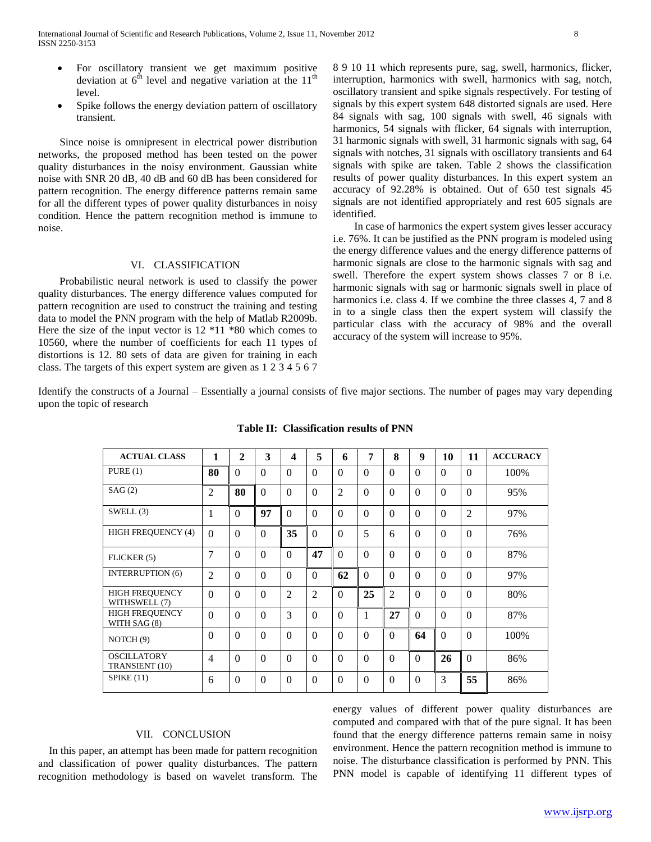- For oscillatory transient we get maximum positive deviation at  $6<sup>th</sup>$  level and negative variation at the 11<sup>th</sup> level.
- Spike follows the energy deviation pattern of oscillatory transient.

 Since noise is omnipresent in electrical power distribution networks, the proposed method has been tested on the power quality disturbances in the noisy environment. Gaussian white noise with SNR 20 dB, 40 dB and 60 dB has been considered for pattern recognition. The energy difference patterns remain same for all the different types of power quality disturbances in noisy condition. Hence the pattern recognition method is immune to noise.

### VI. CLASSIFICATION

 Probabilistic neural network is used to classify the power quality disturbances. The energy difference values computed for pattern recognition are used to construct the training and testing data to model the PNN program with the help of Matlab R2009b. Here the size of the input vector is 12 \*11 \*80 which comes to 10560, where the number of coefficients for each 11 types of distortions is 12. 80 sets of data are given for training in each class. The targets of this expert system are given as 1 2 3 4 5 6 7 8 9 10 11 which represents pure, sag, swell, harmonics, flicker, interruption, harmonics with swell, harmonics with sag, notch, oscillatory transient and spike signals respectively. For testing of signals by this expert system 648 distorted signals are used. Here 84 signals with sag, 100 signals with swell, 46 signals with harmonics, 54 signals with flicker, 64 signals with interruption, 31 harmonic signals with swell, 31 harmonic signals with sag, 64 signals with notches, 31 signals with oscillatory transients and 64 signals with spike are taken. Table 2 shows the classification results of power quality disturbances. In this expert system an accuracy of 92.28% is obtained. Out of 650 test signals 45 signals are not identified appropriately and rest 605 signals are identified.

 In case of harmonics the expert system gives lesser accuracy i.e. 76%. It can be justified as the PNN program is modeled using the energy difference values and the energy difference patterns of harmonic signals are close to the harmonic signals with sag and swell. Therefore the expert system shows classes 7 or 8 i.e. harmonic signals with sag or harmonic signals swell in place of harmonics i.e. class 4. If we combine the three classes 4, 7 and 8 in to a single class then the expert system will classify the particular class with the accuracy of 98% and the overall accuracy of the system will increase to 95%.

Identify the constructs of a Journal – Essentially a journal consists of five major sections. The number of pages may vary depending upon the topic of research

| <b>ACTUAL CLASS</b>                    | 1              | $\overline{2}$ | 3        | 4              | 5              | 6              | 7        | 8              | 9        | 10            | 11             | <b>ACCURACY</b> |
|----------------------------------------|----------------|----------------|----------|----------------|----------------|----------------|----------|----------------|----------|---------------|----------------|-----------------|
| PURE(1)                                | 80             | $\Omega$       | 0        | $\Omega$       | $\Omega$       | $\Omega$       | $\Omega$ | $\Omega$       | $\Omega$ | $\Omega$      | $\theta$       | 100%            |
| SAG(2)                                 | 2              | 80             | $\Omega$ | $\Omega$       | $\Omega$       | $\overline{2}$ | $\Omega$ | $\Omega$       | $\Omega$ | $\Omega$      | $\Omega$       | 95%             |
| SWELL(3)                               | 1              | $\Omega$       | 97       | $\Omega$       | $\Omega$       | $\Omega$       | $\Omega$ | $\Omega$       | $\Omega$ | $\Omega$      | $\overline{2}$ | 97%             |
| <b>HIGH FREQUENCY (4)</b>              | $\Omega$       | $\Omega$       | $\Omega$ | 35             | $\Omega$       | $\Omega$       | 5        | 6              | $\Omega$ | $\Omega$      | $\Omega$       | 76%             |
| FLICKER (5)                            | $\overline{7}$ | $\Omega$       | $\Omega$ | $\Omega$       | 47             | $\Omega$       | $\Omega$ | $\Omega$       | $\Omega$ | $\Omega$      | $\theta$       | 87%             |
| <b>INTERRUPTION (6)</b>                | $\overline{2}$ | $\Omega$       | $\Omega$ | $\Omega$       | $\Omega$       | 62             | $\Omega$ | $\Omega$       | $\Omega$ | $\Omega$      | $\theta$       | 97%             |
| <b>HIGH FREQUENCY</b><br>WITHSWELL (7) | $\Omega$       | $\Omega$       | $\Omega$ | $\overline{2}$ | $\overline{2}$ | $\Omega$       | 25       | $\overline{2}$ | $\Omega$ | $\Omega$      | $\Omega$       | 80%             |
| <b>HIGH FREQUENCY</b><br>WITH SAG (8)  | $\theta$       | $\Omega$       | $\Omega$ | 3              | $\Omega$       | $\Omega$       | 1        | 27             | $\Omega$ | $\Omega$      | $\theta$       | 87%             |
| NOTCH <sub>(9)</sub>                   | $\theta$       | $\theta$       | $\Omega$ | $\Omega$       | $\Omega$       | $\Omega$       | $\Omega$ | $\Omega$       | 64       | $\Omega$      | $\Omega$       | 100%            |
| <b>OSCILLATORY</b><br>TRANSIENT (10)   | $\overline{4}$ | $\Omega$       | $\Omega$ | $\Omega$       | $\Omega$       | $\Omega$       | $\Omega$ | $\Omega$       | $\Omega$ | 26            | $\Omega$       | 86%             |
| SPIKE(11)                              | 6              | $\Omega$       | $\Omega$ | $\Omega$       | $\Omega$       | $\Omega$       | $\Omega$ | $\Omega$       | $\Omega$ | $\mathcal{E}$ | 55             | 86%             |

**Table II: Classification results of PNN**

## VII. CONCLUSION

In this paper, an attempt has been made for pattern recognition and classification of power quality disturbances. The pattern recognition methodology is based on wavelet transform. The energy values of different power quality disturbances are computed and compared with that of the pure signal. It has been found that the energy difference patterns remain same in noisy environment. Hence the pattern recognition method is immune to noise. The disturbance classification is performed by PNN. This PNN model is capable of identifying 11 different types of